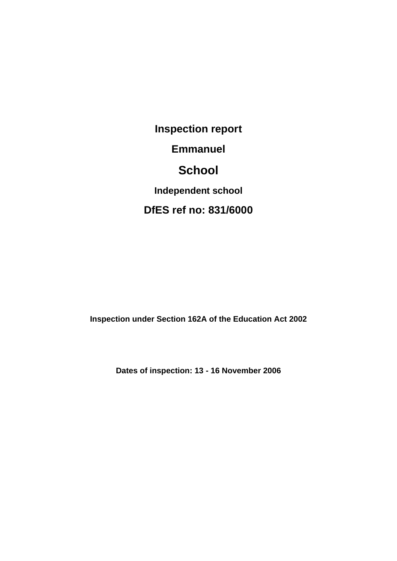**Inspection report Emmanuel School Independent school DfES ref no: 831/6000**

**Inspection under Section 162A of the Education Act 2002**

**Dates of inspection: 13 - 16 November 2006**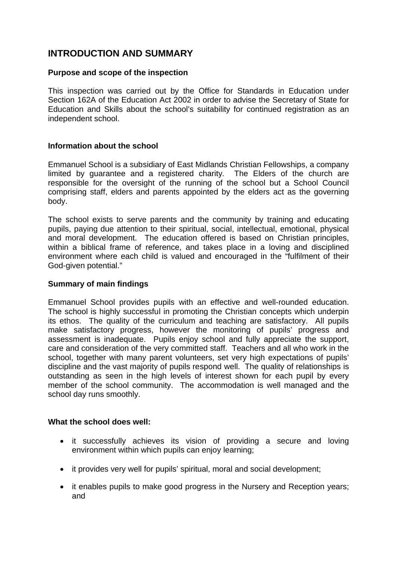# **INTRODUCTION AND SUMMARY**

## **Purpose and scope of the inspection**

This inspection was carried out by the Office for Standards in Education under Section 162A of the Education Act 2002 in order to advise the Secretary of State for Education and Skills about the school's suitability for continued registration as an independent school.

#### **Information about the school**

Emmanuel School is a subsidiary of East Midlands Christian Fellowships, a company limited by guarantee and a registered charity. The Elders of the church are responsible for the oversight of the running of the school but a School Council comprising staff, elders and parents appointed by the elders act as the governing body.

The school exists to serve parents and the community by training and educating pupils, paying due attention to their spiritual, social, intellectual, emotional, physical and moral development. The education offered is based on Christian principles, within a biblical frame of reference, and takes place in a loving and disciplined environment where each child is valued and encouraged in the "fulfilment of their God-given potential."

#### **Summary of main findings**

Emmanuel School provides pupils with an effective and well-rounded education. The school is highly successful in promoting the Christian concepts which underpin its ethos. The quality of the curriculum and teaching are satisfactory. All pupils make satisfactory progress, however the monitoring of pupils' progress and assessment is inadequate. Pupils enjoy school and fully appreciate the support, care and consideration of the very committed staff. Teachers and all who work in the school, together with many parent volunteers, set very high expectations of pupils' discipline and the vast majority of pupils respond well. The quality of relationships is outstanding as seen in the high levels of interest shown for each pupil by every member of the school community. The accommodation is well managed and the school day runs smoothly.

#### **What the school does well:**

- it successfully achieves its vision of providing a secure and loving environment within which pupils can enjoy learning;
- it provides very well for pupils' spiritual, moral and social development;
- it enables pupils to make good progress in the Nursery and Reception years; and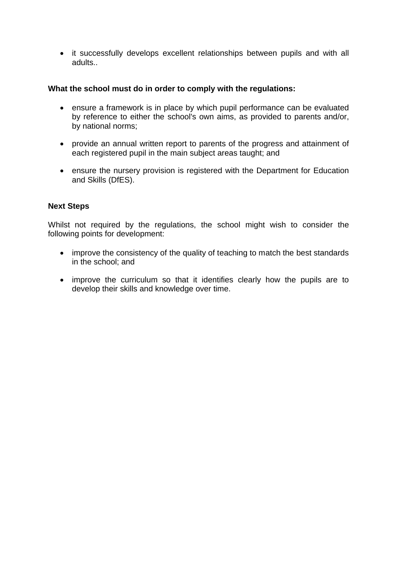• it successfully develops excellent relationships between pupils and with all adults..

## **What the school must do in order to comply with the regulations:**

- ensure a framework is in place by which pupil performance can be evaluated by reference to either the school's own aims, as provided to parents and/or, by national norms;
- provide an annual written report to parents of the progress and attainment of each registered pupil in the main subject areas taught; and
- ensure the nursery provision is registered with the Department for Education and Skills (DfES).

## **Next Steps**

Whilst not required by the regulations, the school might wish to consider the following points for development:

- improve the consistency of the quality of teaching to match the best standards in the school; and
- improve the curriculum so that it identifies clearly how the pupils are to develop their skills and knowledge over time.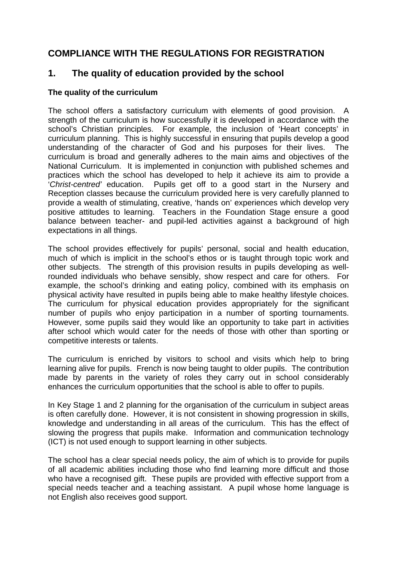# **COMPLIANCE WITH THE REGULATIONS FOR REGISTRATION**

# **1. The quality of education provided by the school**

## **The quality of the curriculum**

The school offers a satisfactory curriculum with elements of good provision. A strength of the curriculum is how successfully it is developed in accordance with the school's Christian principles. For example, the inclusion of 'Heart concepts' in curriculum planning. This is highly successful in ensuring that pupils develop a good understanding of the character of God and his purposes for their lives. The curriculum is broad and generally adheres to the main aims and objectives of the National Curriculum. It is implemented in conjunction with published schemes and practices which the school has developed to help it achieve its aim to provide a '*Christ-centred'* education. Pupils get off to a good start in the Nursery and Reception classes because the curriculum provided here is very carefully planned to provide a wealth of stimulating, creative, 'hands on' experiences which develop very positive attitudes to learning. Teachers in the Foundation Stage ensure a good balance between teacher- and pupil-led activities against a background of high expectations in all things.

The school provides effectively for pupils' personal, social and health education, much of which is implicit in the school's ethos or is taught through topic work and other subjects. The strength of this provision results in pupils developing as wellrounded individuals who behave sensibly, show respect and care for others. For example, the school's drinking and eating policy, combined with its emphasis on physical activity have resulted in pupils being able to make healthy lifestyle choices. The curriculum for physical education provides appropriately for the significant number of pupils who enjoy participation in a number of sporting tournaments. However, some pupils said they would like an opportunity to take part in activities after school which would cater for the needs of those with other than sporting or competitive interests or talents.

The curriculum is enriched by visitors to school and visits which help to bring learning alive for pupils. French is now being taught to older pupils. The contribution made by parents in the variety of roles they carry out in school considerably enhances the curriculum opportunities that the school is able to offer to pupils.

In Key Stage 1 and 2 planning for the organisation of the curriculum in subject areas is often carefully done. However, it is not consistent in showing progression in skills, knowledge and understanding in all areas of the curriculum. This has the effect of slowing the progress that pupils make. Information and communication technology (ICT) is not used enough to support learning in other subjects.

The school has a clear special needs policy, the aim of which is to provide for pupils of all academic abilities including those who find learning more difficult and those who have a recognised gift. These pupils are provided with effective support from a special needs teacher and a teaching assistant. A pupil whose home language is not English also receives good support.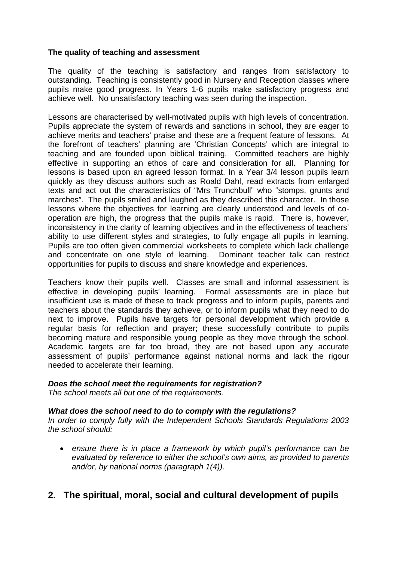## **The quality of teaching and assessment**

The quality of the teaching is satisfactory and ranges from satisfactory to outstanding. Teaching is consistently good in Nursery and Reception classes where pupils make good progress. In Years 1-6 pupils make satisfactory progress and achieve well. No unsatisfactory teaching was seen during the inspection.

Lessons are characterised by well-motivated pupils with high levels of concentration. Pupils appreciate the system of rewards and sanctions in school, they are eager to achieve merits and teachers' praise and these are a frequent feature of lessons. At the forefront of teachers' planning are 'Christian Concepts' which are integral to teaching and are founded upon biblical training. Committed teachers are highly effective in supporting an ethos of care and consideration for all. Planning for lessons is based upon an agreed lesson format. In a Year 3/4 lesson pupils learn quickly as they discuss authors such as Roald Dahl, read extracts from enlarged texts and act out the characteristics of "Mrs Trunchbull" who "stomps, grunts and marches". The pupils smiled and laughed as they described this character. In those lessons where the objectives for learning are clearly understood and levels of cooperation are high, the progress that the pupils make is rapid. There is, however, inconsistency in the clarity of learning objectives and in the effectiveness of teachers' ability to use different styles and strategies, to fully engage all pupils in learning. Pupils are too often given commercial worksheets to complete which lack challenge and concentrate on one style of learning. Dominant teacher talk can restrict opportunities for pupils to discuss and share knowledge and experiences.

Teachers know their pupils well. Classes are small and informal assessment is effective in developing pupils' learning. Formal assessments are in place but insufficient use is made of these to track progress and to inform pupils, parents and teachers about the standards they achieve, or to inform pupils what they need to do next to improve. Pupils have targets for personal development which provide a regular basis for reflection and prayer; these successfully contribute to pupils becoming mature and responsible young people as they move through the school. Academic targets are far too broad, they are not based upon any accurate assessment of pupils' performance against national norms and lack the rigour needed to accelerate their learning.

## *Does the school meet the requirements for registration?*

*The school meets all but one of the requirements.*

## *What does the school need to do to comply with the regulations?*

*In order to comply fully with the Independent Schools Standards Regulations 2003 the school should:*

 *ensure there is in place a framework by which pupil's performance can be evaluated by reference to either the school's own aims, as provided to parents and/or, by national norms (paragraph 1(4)).*

# **2. The spiritual, moral, social and cultural development of pupils**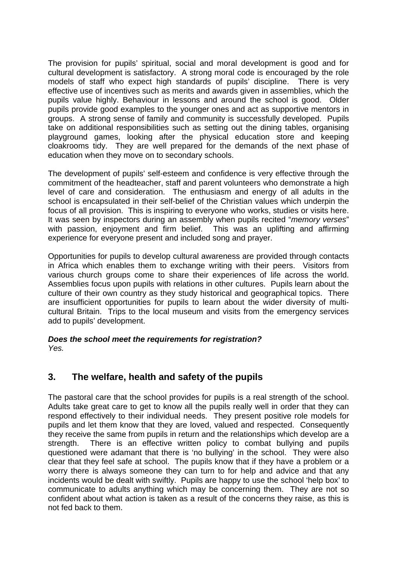The provision for pupils' spiritual, social and moral development is good and for cultural development is satisfactory. A strong moral code is encouraged by the role models of staff who expect high standards of pupils' discipline. There is very effective use of incentives such as merits and awards given in assemblies, which the pupils value highly. Behaviour in lessons and around the school is good. Older pupils provide good examples to the younger ones and act as supportive mentors in groups. A strong sense of family and community is successfully developed. Pupils take on additional responsibilities such as setting out the dining tables, organising playground games, looking after the physical education store and keeping cloakrooms tidy. They are well prepared for the demands of the next phase of education when they move on to secondary schools.

The development of pupils' self-esteem and confidence is very effective through the commitment of the headteacher, staff and parent volunteers who demonstrate a high level of care and consideration. The enthusiasm and energy of all adults in the school is encapsulated in their self-belief of the Christian values which underpin the focus of all provision. This is inspiring to everyone who works, studies or visits here. It was seen by inspectors during an assembly when pupils recited "*memory verses*" with passion, enjoyment and firm belief. This was an uplifting and affirming experience for everyone present and included song and prayer.

Opportunities for pupils to develop cultural awareness are provided through contacts in Africa which enables them to exchange writing with their peers. Visitors from various church groups come to share their experiences of life across the world. Assemblies focus upon pupils with relations in other cultures. Pupils learn about the culture of their own country as they study historical and geographical topics. There are insufficient opportunities for pupils to learn about the wider diversity of multicultural Britain. Trips to the local museum and visits from the emergency services add to pupils' development.

#### *Does the school meet the requirements for registration? Yes.*

# **3. The welfare, health and safety of the pupils**

The pastoral care that the school provides for pupils is a real strength of the school. Adults take great care to get to know all the pupils really well in order that they can respond effectively to their individual needs. They present positive role models for pupils and let them know that they are loved, valued and respected. Consequently they receive the same from pupils in return and the relationships which develop are a strength. There is an effective written policy to combat bullying and pupils questioned were adamant that there is 'no bullying' in the school. They were also clear that they feel safe at school. The pupils know that if they have a problem or a worry there is always someone they can turn to for help and advice and that any incidents would be dealt with swiftly. Pupils are happy to use the school 'help box' to communicate to adults anything which may be concerning them. They are not so confident about what action is taken as a result of the concerns they raise, as this is not fed back to them.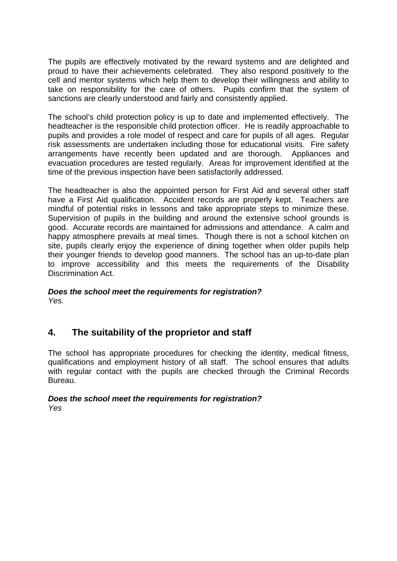The pupils are effectively motivated by the reward systems and are delighted and proud to have their achievements celebrated. They also respond positively to the cell and mentor systems which help them to develop their willingness and ability to take on responsibility for the care of others. Pupils confirm that the system of sanctions are clearly understood and fairly and consistently applied.

The school's child protection policy is up to date and implemented effectively. The headteacher is the responsible child protection officer. He is readily approachable to pupils and provides a role model of respect and care for pupils of all ages. Regular risk assessments are undertaken including those for educational visits. Fire safety arrangements have recently been updated and are thorough. Appliances and evacuation procedures are tested regularly. Areas for improvement identified at the time of the previous inspection have been satisfactorily addressed.

The headteacher is also the appointed person for First Aid and several other staff have a First Aid qualification. Accident records are properly kept. Teachers are mindful of potential risks in lessons and take appropriate steps to minimize these. Supervision of pupils in the building and around the extensive school grounds is good. Accurate records are maintained for admissions and attendance. A calm and happy atmosphere prevails at meal times. Though there is not a school kitchen on site, pupils clearly enjoy the experience of dining together when older pupils help their younger friends to develop good manners. The school has an up-to-date plan to improve accessibility and this meets the requirements of the Disability Discrimination Act.

## *Does the school meet the requirements for registration? Yes.*

# **4. The suitability of the proprietor and staff**

The school has appropriate procedures for checking the identity, medical fitness, qualifications and employment history of all staff. The school ensures that adults with regular contact with the pupils are checked through the Criminal Records Bureau.

#### *Does the school meet the requirements for registration? Yes*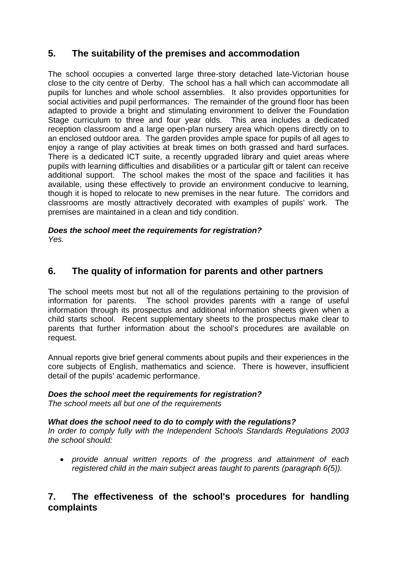# **5. The suitability of the premises and accommodation**

The school occupies a converted large three-story detached late-Victorian house close to the city centre of Derby. The school has a hall which can accommodate all pupils for lunches and whole school assemblies. It also provides opportunities for social activities and pupil performances. The remainder of the ground floor has been adapted to provide a bright and stimulating environment to deliver the Foundation Stage curriculum to three and four year olds. This area includes a dedicated reception classroom and a large open-plan nursery area which opens directly on to an enclosed outdoor area. The garden provides ample space for pupils of all ages to enjoy a range of play activities at break times on both grassed and hard surfaces. There is a dedicated ICT suite, a recently upgraded library and quiet areas where pupils with learning difficulties and disabilities or a particular gift or talent can receive additional support. The school makes the most of the space and facilities it has available, using these effectively to provide an environment conducive to learning, though it is hoped to relocate to new premises in the near future. The corridors and classrooms are mostly attractively decorated with examples of pupils' work. The premises are maintained in a clean and tidy condition.

# *Does the school meet the requirements for registration?*

*Yes.*

# **6. The quality of information for parents and other partners**

The school meets most but not all of the regulations pertaining to the provision of information for parents. The school provides parents with a range of useful information through its prospectus and additional information sheets given when a child starts school. Recent supplementary sheets to the prospectus make clear to parents that further information about the school's procedures are available on request.

Annual reports give brief general comments about pupils and their experiences in the core subjects of English, mathematics and science. There is however, insufficient detail of the pupils' academic performance.

# *Does the school meet the requirements for registration?*

*The school meets all but one of the requirements*

# *What does the school need to do to comply with the regulations?*

*In order to comply fully with the Independent Schools Standards Regulations 2003 the school should:*

 *provide annual written reports of the progress and attainment of each registered child in the main subject areas taught to parents (paragraph 6(5)).*

# **7. The effectiveness of the school's procedures for handling complaints**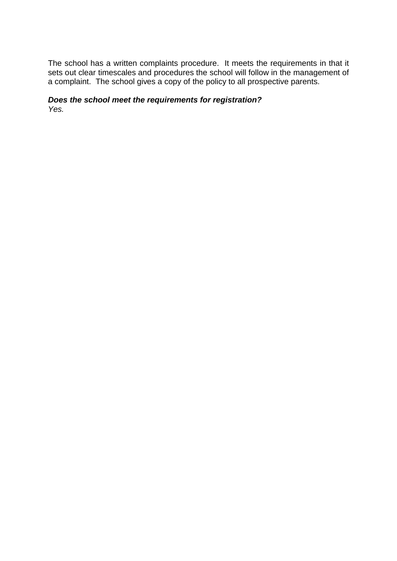The school has a written complaints procedure. It meets the requirements in that it sets out clear timescales and procedures the school will follow in the management of a complaint. The school gives a copy of the policy to all prospective parents.

## *Does the school meet the requirements for registration? Yes.*